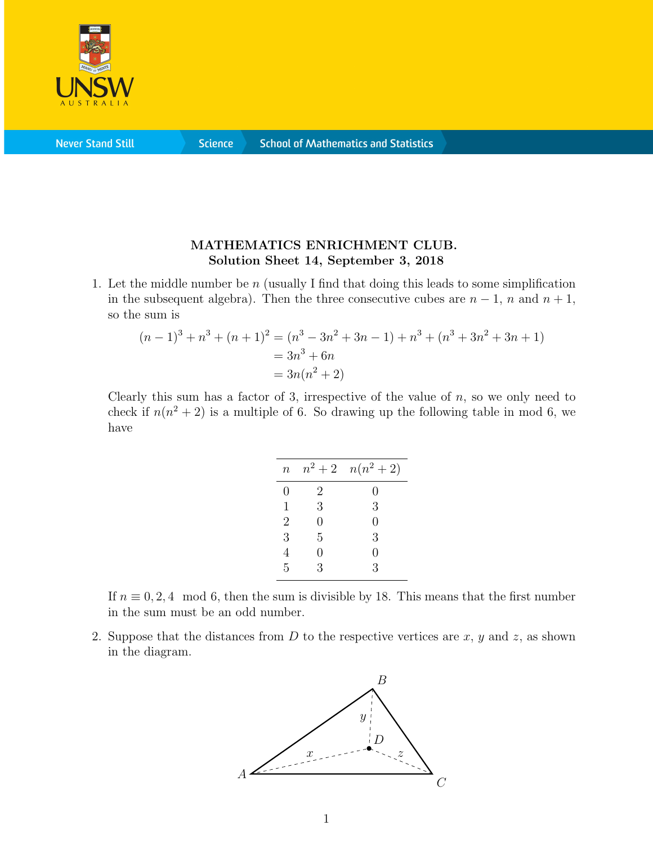

**Never Stand Still** 

**Science** 

## MATHEMATICS ENRICHMENT CLUB. Solution Sheet 14, September 3, 2018

1. Let the middle number be n (usually I find that doing this leads to some simplification in the subsequent algebra). Then the three consecutive cubes are  $n-1$ , n and  $n+1$ , so the sum is

$$
(n-1)3 + n3 + (n + 1)2 = (n3 - 3n2 + 3n - 1) + n3 + (n3 + 3n2 + 3n + 1)
$$
  
= 3n<sup>3</sup> + 6n  
= 3n(n<sup>2</sup> + 2)

Clearly this sum has a factor of 3, irrespective of the value of  $n$ , so we only need to check if  $n(n^2 + 2)$  is a multiple of 6. So drawing up the following table in mod 6, we have

| $\boldsymbol{n}$ |   | $n^2+2$ $n(n^2+2)$ |
|------------------|---|--------------------|
| 0                | 2 | 0                  |
| 1                | 3 | 3                  |
| $\overline{2}$   | 0 | 0                  |
| 3                | 5 | 3                  |
| $\overline{4}$   | 0 | 0                  |
| 5                | 3 | 3                  |
|                  |   |                    |

If  $n \equiv 0, 2, 4 \mod 6$ , then the sum is divisible by 18. This means that the first number in the sum must be an odd number.

2. Suppose that the distances from  $D$  to the respective vertices are  $x, y$  and  $z$ , as shown in the diagram.

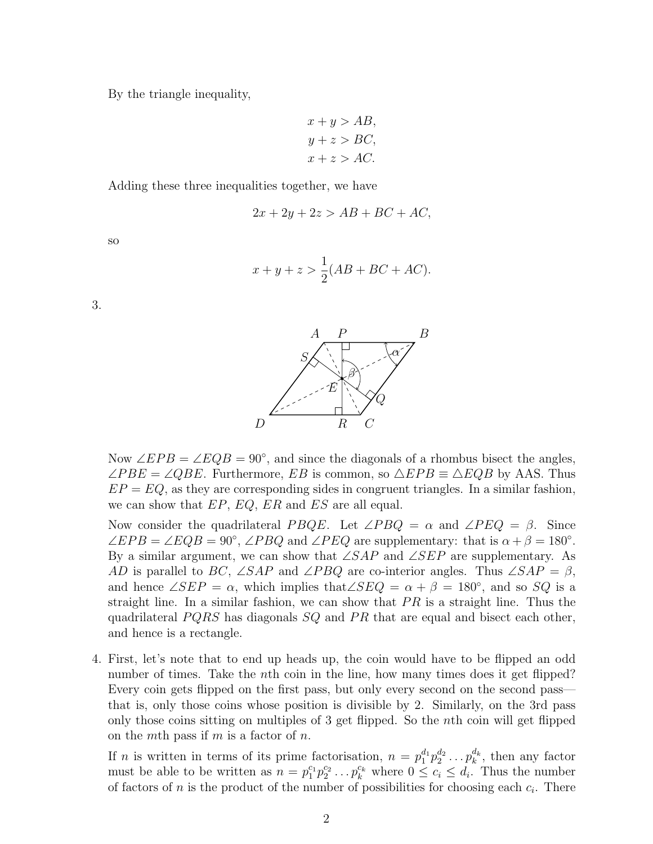By the triangle inequality,

$$
x + y > AB,
$$
  
\n
$$
y + z > BC,
$$
  
\n
$$
x + z > AC.
$$

Adding these three inequalities together, we have

$$
2x + 2y + 2z > AB + BC + AC,
$$

so

$$
x + y + z > \frac{1}{2}(AB + BC + AC).
$$

3.



Now  $\angle EPB = \angle EQB = 90^\circ$ , and since the diagonals of a rhombus bisect the angles,  $\angle PBE = \angle QBE$ . Furthermore, EB is common, so  $\triangle EPB \equiv \triangle EQB$  by AAS. Thus  $EP = EQ$ , as they are corresponding sides in congruent triangles. In a similar fashion, we can show that  $EP, EQ, ER$  and  $ES$  are all equal.

Now consider the quadrilateral P BQE. Let  $\angle PBQ = \alpha$  and  $\angle PEQ = \beta$ . Since  $\angle EPB = \angle EQB = 90^{\circ}, \angle PBQ$  and  $\angle PEQ$  are supplementary: that is  $\alpha + \beta = 180^{\circ}$ . By a similar argument, we can show that  $\angle SAP$  and  $\angle SEP$  are supplementary. As AD is parallel to BC,  $\angle$ SAP and  $\angle$ PBQ are co-interior angles. Thus  $\angle$ SAP =  $\beta$ , and hence  $\angle SEP = \alpha$ , which implies that  $\angle SEQ = \alpha + \beta = 180^{\circ}$ , and so SQ is a straight line. In a similar fashion, we can show that  $PR$  is a straight line. Thus the quadrilateral  $PQRS$  has diagonals  $SQ$  and  $PR$  that are equal and bisect each other, and hence is a rectangle.

4. First, let's note that to end up heads up, the coin would have to be flipped an odd number of times. Take the *n*th coin in the line, how many times does it get flipped? Every coin gets flipped on the first pass, but only every second on the second pass that is, only those coins whose position is divisible by 2. Similarly, on the 3rd pass only those coins sitting on multiples of 3 get flipped. So the nth coin will get flipped on the mth pass if m is a factor of  $n$ .

If *n* is written in terms of its prime factorisation,  $n = p_1^{d_1} p_2^{d_2} \dots p_k^{d_k}$ , then any factor must be able to be written as  $n = p_1^{c_1} p_2^{c_2} \dots p_k^{c_k}$  where  $0 \leq c_i \leq d_i$ . Thus the number of factors of n is the product of the number of possibilities for choosing each  $c_i$ . There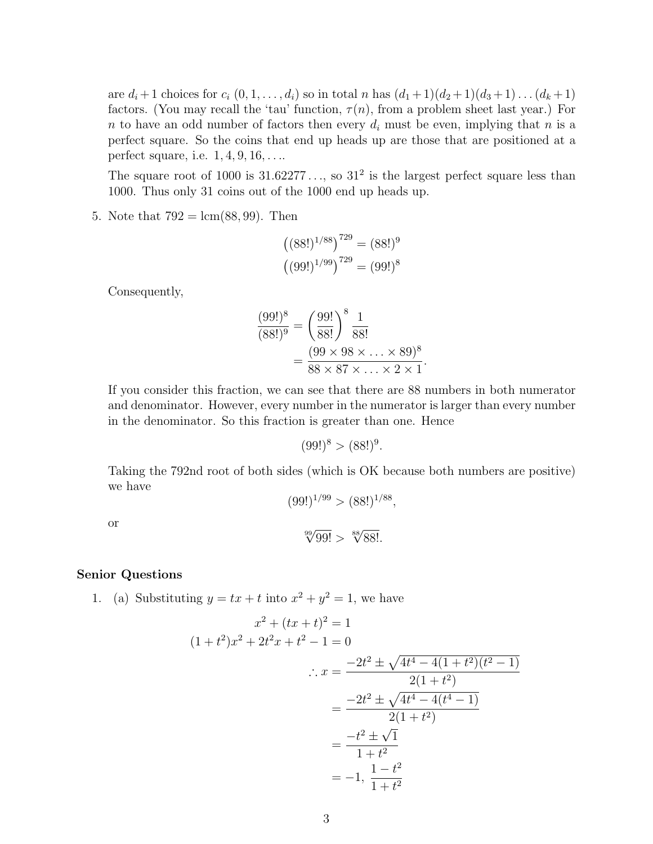are  $d_i + 1$  choices for  $c_i (0, 1, \ldots, d_i)$  so in total n has  $(d_1 + 1)(d_2 + 1)(d_3 + 1) \ldots (d_k + 1)$ factors. (You may recall the 'tau' function,  $\tau(n)$ , from a problem sheet last year.) For n to have an odd number of factors then every  $d_i$  must be even, implying that n is a perfect square. So the coins that end up heads up are those that are positioned at a perfect square, i.e.  $1, 4, 9, 16, \ldots$ 

The square root of 1000 is  $31.62277...$ , so  $31^2$  is the largest perfect square less than 1000. Thus only 31 coins out of the 1000 end up heads up.

5. Note that  $792 = \text{lcm}(88, 99)$ . Then

$$
((88!)^{1/88})^{729} = (88!)^9
$$
  
 $((99!)^{1/99})^{729} = (99!)^8$ 

Consequently,

$$
\frac{(99!)^8}{(88!)^9} = \left(\frac{99!}{88!}\right)^8 \frac{1}{88!} = \frac{(99 \times 98 \times \ldots \times 89)^8}{88 \times 87 \times \ldots \times 2 \times 1}.
$$

If you consider this fraction, we can see that there are 88 numbers in both numerator and denominator. However, every number in the numerator is larger than every number in the denominator. So this fraction is greater than one. Hence

$$
(99!)^8 > (88!)^9.
$$

Taking the 792nd root of both sides (which is OK because both numbers are positive) we have

 $(99!)^{1/99}$  >  $(88!)^{1/88}$ ,

or

 $\sqrt[99]{99!} > \sqrt[88]{88!}.$ 

## Senior Questions

1. (a) Substituting  $y = tx + t$  into  $x^2 + y^2 = 1$ , we have

$$
x^{2} + (tx + t)^{2} = 1
$$
  
(1 + t<sup>2</sup>) $x^{2}$  + 2t<sup>2</sup>x + t<sup>2</sup> - 1 = 0  

$$
\therefore x = \frac{-2t^{2} \pm \sqrt{4t^{4} - 4(1 + t^{2})(t^{2} - 1)}}{2(1 + t^{2})}
$$

$$
= \frac{-2t^{2} \pm \sqrt{4t^{4} - 4(t^{4} - 1)}}{2(1 + t^{2})}
$$

$$
= \frac{-t^{2} \pm \sqrt{1}}{1 + t^{2}}
$$

$$
= -1, \frac{1 - t^{2}}{1 + t^{2}}
$$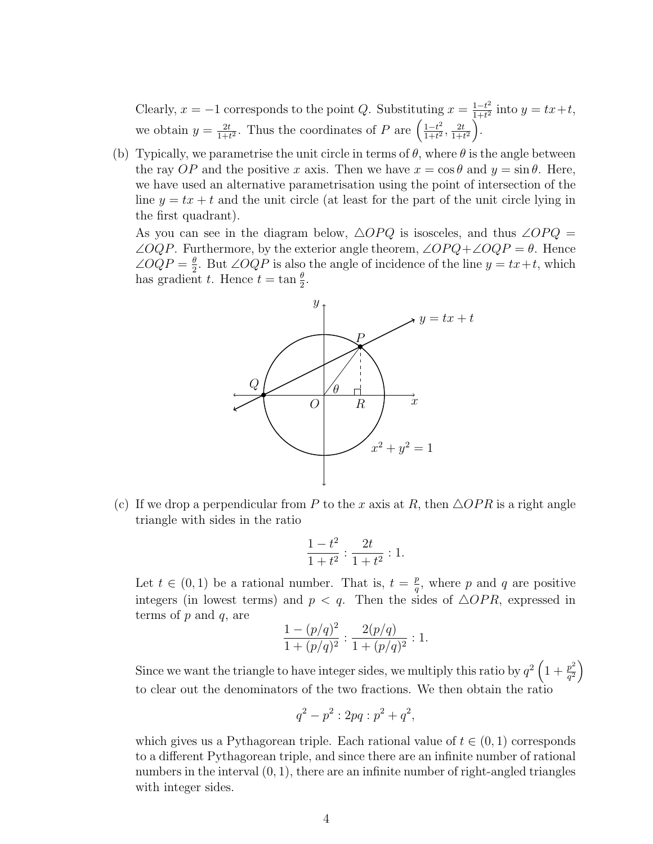Clearly,  $x = -1$  corresponds to the point Q. Substituting  $x = \frac{1-t^2}{1+t^2}$  $\frac{1-t^2}{1+t^2}$  into  $y = tx+t$ , we obtain  $y = \frac{2t}{1+t}$  $\frac{2t}{1+t^2}$ . Thus the coordinates of P are  $\left(\frac{1-t^2}{1+t^2}\right)$  $\frac{1-t^2}{1+t^2}, \frac{2t}{1+t}$  $\frac{2t}{1+t^2}\bigg).$ 

(b) Typically, we parametrise the unit circle in terms of  $\theta$ , where  $\theta$  is the angle between the ray OP and the positive x axis. Then we have  $x = \cos \theta$  and  $y = \sin \theta$ . Here, we have used an alternative parametrisation using the point of intersection of the line  $y = tx + t$  and the unit circle (at least for the part of the unit circle lying in the first quadrant).

As you can see in the diagram below,  $\triangle OPQ$  is isosceles, and thus ∠ $OPQ =$  $\angle OQP$ . Furthermore, by the exterior angle theorem,  $\angle OPQ + \angle OQP = \theta$ . Hence  $\angle OQP = \frac{\theta}{2}$  $\frac{\theta}{2}$ . But ∠*OQP* is also the angle of incidence of the line  $y = tx + t$ , which has gradient t. Hence  $t = \tan \frac{\theta}{2}$ .



(c) If we drop a perpendicular from P to the x axis at R, then  $\triangle OPR$  is a right angle triangle with sides in the ratio

$$
\frac{1-t^2}{1+t^2} : \frac{2t}{1+t^2} : 1.
$$

Let  $t \in (0,1)$  be a rational number. That is,  $t = \frac{p}{q}$  $\frac{p}{q}$ , where p and q are positive integers (in lowest terms) and  $p < q$ . Then the sides of  $\triangle OPR$ , expressed in terms of  $p$  and  $q$ , are  $2<sup>o</sup>$ 

$$
\frac{1 - (p/q)^2}{1 + (p/q)^2} : \frac{2(p/q)}{1 + (p/q)^2} : 1.
$$

Since we want the triangle to have integer sides, we multiply this ratio by  $q^2\left(1+\frac{p^2}{q^2}\right)$  $\frac{p^2}{q^2}$ to clear out the denominators of the two fractions. We then obtain the ratio

$$
q^2 - p^2 : 2pq : p^2 + q^2,
$$

which gives us a Pythagorean triple. Each rational value of  $t \in (0, 1)$  corresponds to a different Pythagorean triple, and since there are an infinite number of rational numbers in the interval  $(0, 1)$ , there are an infinite number of right-angled triangles with integer sides.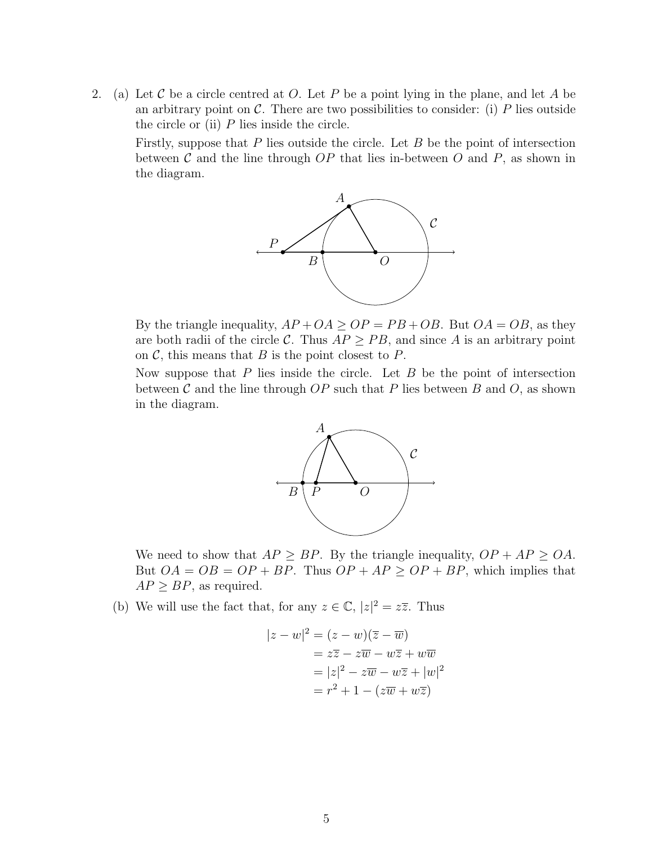2. (a) Let C be a circle centred at O. Let P be a point lying in the plane, and let A be an arbitrary point on  $\mathcal C$ . There are two possibilities to consider: (i) P lies outside the circle or (ii)  $P$  lies inside the circle.

Firstly, suppose that  $P$  lies outside the circle. Let  $B$  be the point of intersection between  $\mathcal C$  and the line through  $OP$  that lies in-between  $O$  and  $P$ , as shown in the diagram.



By the triangle inequality,  $AP + OA \ge OP = PB + OB$ . But  $OA = OB$ , as they are both radii of the circle C. Thus  $AP > PB$ , and since A is an arbitrary point on  $\mathcal{C}$ , this means that  $B$  is the point closest to  $P$ .

Now suppose that  $P$  lies inside the circle. Let  $B$  be the point of intersection between  $\mathcal C$  and the line through  $OP$  such that P lies between B and O, as shown in the diagram.



We need to show that  $AP \ge BP$ . By the triangle inequality,  $OP + AP \ge OA$ . But  $OA = OB = OP + BP$ . Thus  $OP + AP \ge OP + BP$ , which implies that  $AP \ge BP$ , as required.

(b) We will use the fact that, for any  $z \in \mathbb{C}$ ,  $|z|^2 = z\overline{z}$ . Thus

$$
|z - w|^2 = (z - w)(\overline{z} - \overline{w})
$$
  
=  $z\overline{z} - z\overline{w} - w\overline{z} + w\overline{w}$   
=  $|z|^2 - z\overline{w} - w\overline{z} + |w|^2$   
=  $r^2 + 1 - (z\overline{w} + w\overline{z})$